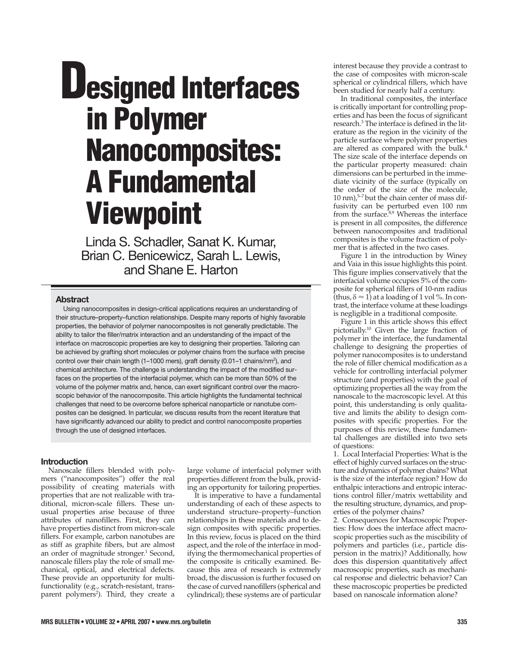# Designed Interfaces in Polymer Nanocomposites: A Fundamental Viewpoint

Linda S. Schadler, Sanat K. Kumar, Brian C. Benicewicz, Sarah L. Lewis, and Shane E. Harton

# **Abstract**

Using nanocomposites in design - critical applications requires an understanding of their structure–property–function relationships. Despite many reports of highly favorable properties, the behavior of polymer nanocomposites is not generally predictable. The ability to tailor the filler/matrix interaction and an understanding of the impact of the interface on macroscopic properties are key to designing their properties. Tailoring can be achieved by grafting short molecules or polymer chains from the surface with precise control over their chain length (1–1000 mers), graft density (0.01–1 chains/nm<sup>2</sup>), and chemical architecture. The challenge is understanding the impact of the modified sur faces on the properties of the interfacial polymer, which can be more than 50% of the volume of the polymer matrix and, hence, can exert significant control over the macroscopic behavior of the nanocomposite. This article highlights the fundamental technical challenges that need to be overcome before spherical nanoparticle or nanotube composites can be designed. In particular, we discuss results from the recent literature that have significantly advanced our ability to predict and control nanocomposite properties through the use of designed interfaces.

# **Introduction**

Nanoscale fillers blended with polymers ("nanocomposites") offer the real possibility of creating materials with properties that are not realizable with traditional, micron-scale fillers. These unusual properties arise because of three attributes of nanofillers. First, they can have properties distinct from micron-scale fillers. For example, carbon nanotubes are as stiff as graphite fibers, but are almost an order of magnitude stronger.<sup>1</sup> Second, nanoscale fillers play the role of small mechanical, optical, and electrical defects. These provide an opportunity for multifunctionality (e.g., scratch-resistant, transparent polymers<sup>2</sup>). Third, they create a

large volume of interfacial polymer with properties different from the bulk, providing an opportunity for tailoring properties.

It is imperative to have a fundamental understanding of each of these aspects to understand structure–property–function relationships in these materials and to design composites with specific properties. In this review, focus is placed on the third aspect, and the role of the interface in modifying the thermomechanical properties of the composite is critically examined. Because this area of research is extremely broad, the discussion is further focused on the case of curved nanofillers (spherical and cylindrical); these systems are of particular

interest because they provide a contrast to the case of composites with micron-scale spherical or cylindrical fillers, which have been studied for nearly half a century.

In traditional composites, the interface is critically important for controlling properties and has been the focus of significant research.<sup>3</sup> The interface is defined in the literature as the region in the vicinity of the particle surface where polymer properties are altered as compared with the bulk.<sup>4</sup> The size scale of the interface depends on the particular property measured: chain dimensions can be perturbed in the immediate vicinity of the surface (typically on the order of the size of the molecule, 10 nm), $5-7$  but the chain center of mass diffusivity can be perturbed even 100 nm from the surface.<sup>8,9</sup> Whereas the interface is present in all composites, the difference between nanocomposites and traditional composites is the volume fraction of polymer that is affected in the two cases.

Figure 1 in the introduction by Winey and Vaia in this issue highlights this point. This figure implies conservatively that the interfacial volume occupies 5% of the composite for spherical fillers of 10-nm radius (thus,  $\delta \approx 1$ ) at a loading of 1 vol %. In contrast, the interface volume at these loadings is negligible in a traditional composite.

Figure 1 in this article shows this effect pictorially.10 Given the large fraction of polymer in the interface, the fundamental challenge to designing the properties of polymer nanocomposites is to understand the role of filler chemical modification as a vehicle for controlling interfacial polymer structure (and properties) with the goal of optimizing properties all the way from the nanoscale to the macroscopic level. At this point, this understanding is only qualitative and limits the ability to design composites with specific properties. For the purposes of this review, these fundamental challenges are distilled into two sets of questions:

1. Local Interfacial Properties: What is the effect of highly curved surfaces on the structure and dynamics of polymer chains? What is the size of the interface region? How do enthalpic interactions and entropic interactions control filler/matrix wettability and the resulting structure, dynamics, and properties of the polymer chains?

2. Consequences for Macroscopic Properties: How does the interface affect macroscopic properties such as the miscibility of polymers and particles (i.e., particle dispersion in the matrix)? Additionally, how does this dispersion quantitatively affect macroscopic properties, such as mechanical response and dielectric behavior? Can these macroscopic properties be predicted based on nanoscale information alone?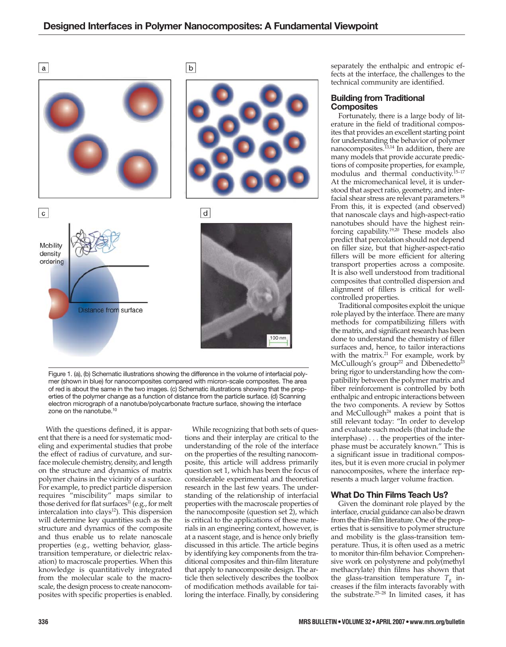

Figure 1. (a), (b) Schematic illustrations showing the difference in the volume of interfacial polymer (shown in blue) for nanocomposites compared with micron-scale composites. The area of red is about the same in the two images. (c) Schematic illustrations showing that the properties of the polymer change as a function of distance from the particle surface. (d) Scanning electron micrograph of a nanotube/polycarbonate fracture surface, showing the interface zone on the nanotube.<sup>10</sup>

With the questions defined, it is apparent that there is a need for systematic modeling and experimental studies that probe the effect of radius of curvature, and surface molecule chemistry, density, and length on the structure and dynamics of matrix polymer chains in the vicinity of a surface. For example, to predict particle dispersion requires "miscibility" maps similar to those derived for flat surfaces<sup>11</sup> (e.g., for melt intercalation into clays<sup>12</sup>). This dispersion will determine key quantities such as the structure and dynamics of the composite and thus enable us to relate nanoscale properties (e.g., wetting behavior, glass transition temperature, or dielectric relaxation) to macroscale properties. When this knowledge is quantitatively integrated from the molecular scale to the macroscale, the design process to create nanocomposites with specific properties is enabled.

While recognizing that both sets of questions and their interplay are critical to the understanding of the role of the interface on the properties of the resulting nanocomposite, this article will address primarily question set 1, which has been the focus of considerable experimental and theoretical research in the last few years. The understanding of the relationship of interfacial properties with the macroscale properties of the nanocomposite (question set 2), which is critical to the applications of these materials in an engineering context, however, is at a nascent stage, and is hence only briefly discussed in this article. The article begins by identifying key components from the traditional composites and thin-film literature that apply to nanocomposite design. The article then selectively describes the toolbox of modification methods available for tailoring the interface. Finally, by considering

separately the enthalpic and entropic effects at the interface, the challenges to the technical community are identified.

# Building from Traditional **Composites**

Fortunately, there is a large body of literature in the field of traditional composites that provides an excellent starting point for understanding the behavior of polymer nanocomposites.13,14 In addition, there are many models that provide accurate predictions of composite properties, for example, modulus and thermal conductivity.<sup>15-17</sup> At the micromechanical level, it is understood that aspect ratio, geometry, and inter facial shear stress are relevant parameters.<sup>18</sup> From this, it is expected (and observed) that nanoscale clays and high-aspect-ratio nanotubes should have the highest reinforcing capability.19,20 These models also predict that percolation should not depend on filler size, but that higher-aspect-ratio fillers will be more efficient for altering transport properties across a composite. It is also well understood from traditional composites that controlled dispersion and alignment of fillers is critical for wellcontrolled properties.

Traditional composites exploit the unique role played by the interface. There are many methods for compatibilizing fillers with the matrix, and significant research has been done to understand the chemistry of filler surfaces and, hence, to tailor interactions with the matrix. $21$  For example, work by McCullough's group<sup>22</sup> and Dibenedetto<sup>23</sup> bring rigor to understanding how the compatibility between the polymer matrix and fiber reinforcement is controlled by both enthalpic and entropic interactions between the two components. A review by Sottos and McCullough $24$  makes a point that is still relevant today: "In order to develop and evaluate such models (that include the interphase) . . . the properties of the interphase must be accurately known." This is a significant issue in traditional composites, but it is even more crucial in polymer nanocomposites, where the interface represents a much larger volume fraction.

# What Do Thin Films Teach Us?

Given the dominant role played by the interface, crucial guidance can also be drawn from the thin-film literature. One of the properties that is sensitive to polymer structure and mobility is the glass-transition temperature. Thus, it is often used as a metric to monitor thin-film behavior. Comprehensive work on polystyrene and poly(methyl methacrylate) thin films has shown that the glass-transition temperature  $T_g$  increases if the film interacts favorably with the substrate.25–28 In limited cases, it has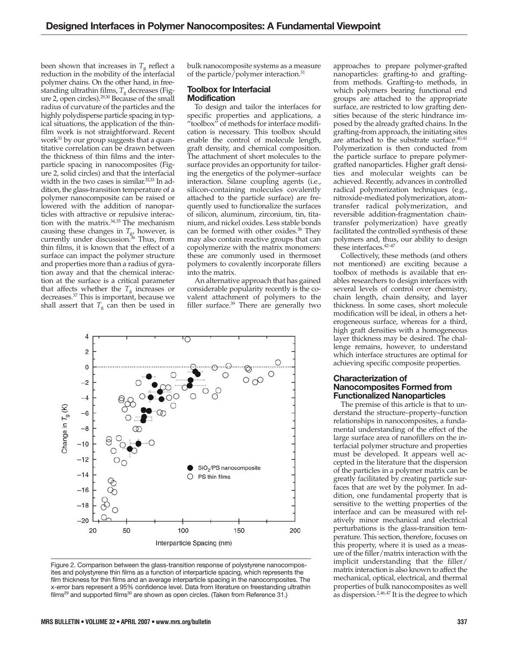been shown that increases in  $T_g$  reflect a reduction in the mobility of the interfacial polymer chains. On the other hand, in freestanding ultrathin films,  $T_{\rm g}$  decreases (Figure 2, open circles).29,30 Because of the small radius of curvature of the particles and the highly polydisperse particle spacing in typical situations, the application of the thin film work is not straightforward. Recent work $31$  by our group suggests that a quantitative correlation can be drawn between the thickness of thin films and the interparticle spacing in nanocomposites (Figure 2, solid circles) and that the interfacial width in the two cases is similar. $32,33$  In addition, the glass -transition temperature of a polymer nanocomposite can be raised or lowered with the addition of nanoparticles with attractive or repulsive interaction with the matrix. $34,35$  The mechanism causing these changes in  $T_{\rm g}$ , however, is currently under discussion.<sup>36</sup> Thus, from thin films, it is known that the effect of a surface can impact the polymer structure and properties more than a radius of gyration away and that the chemical interaction at the surface is a critical parameter that affects whether the  $T_{\rm g}$  increases or decreases.<sup>37</sup> This is important, because we shall assert that  $T_g$  can then be used in

bulk nanocomposite systems as a measure of the particle/polymer interaction. $31$ 

#### Toolbox for Interfacial **Modification**

To design and tailor the interfaces for specific properties and applications, a "toolbox" of methods for interface modification is necessary. This toolbox should enable the control of molecule length, graft density, and chemical composition. The attachment of short molecules to the surface provides an opportunity for tailoring the energetics of the polymer–surface interaction. Silane coupling agents (i.e., silicon-containing molecules covalently attached to the particle surface) are frequently used to functionalize the surfaces of silicon, aluminum, zirconium, tin, titanium, and nickel oxides. Less stable bonds can be formed with other oxides.<sup>38</sup> They may also contain reactive groups that can copolymerize with the matrix monomers: these are commonly used in thermoset polymers to covalently incorporate fillers into the matrix.

An alternative approach that has gained considerable popularity recently is the covalent attachment of polymers to the filler surface.<sup>39</sup> There are generally two



Figure 2. Comparison between the glass-transition response of polystyrene nanocomposites and polystyrene thin films as a function of interparticle spacing, which represents the film thickness for thin films and an average interparticle spacing in the nanocomposites. The x-error bars represent a 95% confidence level. Data from literature on freestanding ultrathin  $films<sup>29</sup>$  and supported  $films<sup>30</sup>$  are shown as open circles. (Taken from Reference 31.)

approaches to prepare polymer-grafted nanoparticles: grafting-to and graftingfrom methods. Grafting-to methods, in which polymers bearing functional end groups are attached to the appropriate surface, are restricted to low grafting densities because of the steric hindrance imposed by the already grafted chains. In the grafting-from approach, the initiating sites are attached to the substrate surface.<sup>40,41</sup> Polymerization is then conducted from the particle surface to prepare polymergrafted nanoparticles. Higher graft densities and molecular weights can be achieved. Recently, advances in controlled radical polymerization techniques (e.g., nitroxide-mediated polymerization, atom transfer radical polymerization, and reversible addition-fragmentation chain transfer polymerization) have greatly facilitated the controlled synthesis of these polymers and, thus, our ability to design these interfaces.  $42-47$ 

Collectively, these methods (and others not mentioned) are exciting because a toolbox of methods is available that enables researchers to design interfaces with several levels of control over chemistry, chain length, chain density, and layer thickness. In some cases, short molecule modification will be ideal, in others a heterogeneous surface, whereas for a third, high graft densities with a homogeneous layer thickness may be desired. The challenge remains, however, to understand which interface structures are optimal for achieving specific composite properties.

#### Characterization of Nanocomposites Formed from **Functionalized Nanoparticles**

The premise of this article is that to understand the structure–property–function relationships in nanocomposites, a fundamental understanding of the effect of the large surface area of nanofillers on the interfacial polymer structure and properties must be developed. It appears well accepted in the literature that the dispersion of the particles in a polymer matrix can be greatly facilitated by creating particle surfaces that are wet by the polymer. In addition, one fundamental property that is sensitive to the wetting properties of the interface and can be measured with relatively minor mechanical and electrical perturbations is the glass-transition temperature. This section, therefore, focuses on this property, where it is used as a measure of the filler/matrix interaction with the implicit understanding that the filler/ matrix interaction is also known to affect the mechanical, optical, electrical, and thermal properties of bulk nanocomposites as well as dispersion.<sup>2,46,47</sup> It is the degree to which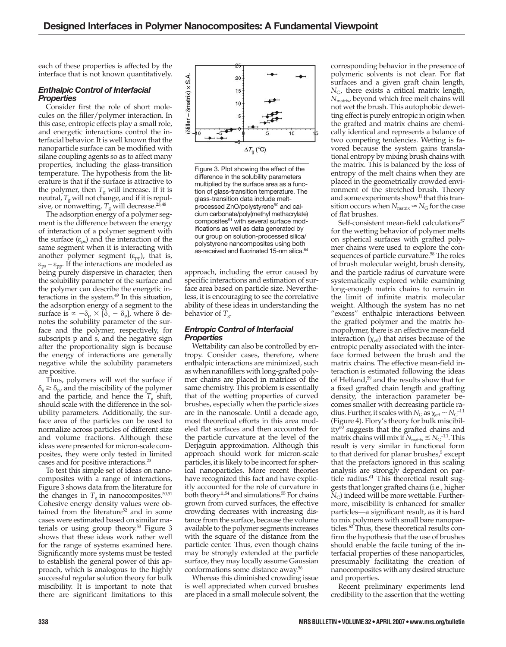each of these properties is affected by the interface that is not known quantitatively.

#### Enthalpic Control of Interfacial **Properties**

Consider first the role of short molecules on the filler/polymer interaction. In this case, entropic effects play a small role, and energetic interactions control the interfacial behavior. It is well known that the nanoparticle surface can be modified with silane coupling agents so as to affect many properties, including the glass-transition temperature. The hypothesis from the literature is that if the surface is attractive to the polymer, then  $T_g$  will increase. If it is neutral,  $T_{\rm g}$  will not change, and if it is repulsive, or nonwetting,  $T_{\rm g}$  will decrease.<sup>25,48</sup>

The adsorption energy of a polymer segment is the difference between the energy of interaction of a polymer segment with the surface  $(\varepsilon_{ps})$  and the interaction of the same segment when it is interacting with another polymer segment  $(\varepsilon_{\text{pp}})$ , that is,  $\varepsilon_{\text{ps}} - \varepsilon_{\text{pp}}$ . If the interactions are modeled as being purely dispersive in character, then the solubility parameter of the surface and the polymer can describe the energetic interactions in the system.49 In this situation, the adsorption energy of a segment to the surface is  $\propto -\delta_p \times [\delta_s - \delta_p]$ , where  $\delta$  denotes the solubility parameter of the surface and the polymer, respectively, for subscripts p and s, and the negative sign after the proportionality sign is because the energy of interactions are generally negative while the solubility parameters are positive.

Thus, polymers will wet the surface if  $\delta_s \geq \delta_p$ , and the miscibility of the polymer and the particle, and hence the  $T_g$  shift, should scale with the difference in the solubility parameters. Additionally, the surface area of the particles can be used to normalize across particles of different size and volume fractions. Although these ideas were presented for micron-scale composites, they were only tested in limited cases and for positive interactions.23

To test this simple set of ideas on nanocomposites with a range of interactions, Figure 3 shows data from the literature for the changes in  $T_{\rm g}$  in nanocomposites.<sup>50,51</sup> Cohesive energy density values were obtained from the literature<sup>52</sup> and in some cases were estimated based on similar materials or using group theory.<sup>53</sup> Figure 3 shows that these ideas work rather well for the range of systems examined here. Significantly more systems must be tested to establish the general power of this approach, which is analogous to the highly successful regular solution theory for bulk miscibility. It is important to note that there are significant limitations to this



Figure 3. Plot showing the effect of the difference in the solubility parameters multiplied by the surface area as a function of glass-transition temperature. The glass-transition data include meltprocessed ZnO/polystyrene<sup>50</sup> and calcium carbonate/poly(methyl methacrylate) composites<sup>51</sup> with several surface modifications as well as data generated by our group on solution-processed silica/ polystyrene nancomposites using both as-received and fluorinated 15-nm silica.<sup>64</sup>

approach, including the error caused by specific interactions and estimation of surface area based on particle size. Nevertheless, it is encouraging to see the correlative ability of these ideas in understanding the behavior of  $T_{\rm g}$ .

#### Entropic Control of Interfacial Properties

Wettability can also be controlled by entropy. Consider cases, therefore, where enthalpic interactions are minimized, such as when nanofillers with long-grafted polymer chains are placed in matrices of the same chemistry. This problem is essentially that of the wetting properties of curved brushes, especially when the particle sizes are in the nanoscale. Until a decade ago, most theoretical efforts in this area modeled flat surfaces and then accounted for the particle curvature at the level of the Derjaguin approximation. Although this approach should work for micron-scale particles, it is likely to be incorrect for spherical nanoparticles. More recent theories have recognized this fact and have explicitly accounted for the role of curvature in both theory<sup>11,54</sup> and simulations.<sup>55</sup> For chains grown from curved surfaces, the effective crowding decreases with increasing distance from the surface, because the volume available to the polymer segments increases with the square of the distance from the particle center. Thus, even though chains may be strongly extended at the particle surface, they may locally assume Gaussian conformations some distance away.56

Whereas this diminished crowding issue is well appreciated when curved brushes are placed in a small molecule solvent, the corresponding behavior in the presence of polymeric solvents is not clear. For flat surfaces and a given graft chain length, *N*G, there exists a critical matrix length, *N*matrix, beyond which free melt chains will not wet the brush. This autophobic dewetting effect is purely entropic in origin when the grafted and matrix chains are chemically identical and represents a balance of two competing tendencies. Wetting is favored because the system gains translational entropy by mixing brush chains with the matrix. This is balanced by the loss of entropy of the melt chains when they are placed in the geometrically crowded environment of the stretched brush. Theory and some experiments show<sup>11</sup> that this transition occurs when  $N_{\text{matrix}} \approx N_G$  for the case of flat brushes.

Self-consistent mean-field calculations<sup>57</sup> for the wetting behavior of polymer melts on spherical surfaces with grafted polymer chains were used to explore the consequences of particle curvature.<sup>58</sup> The roles of brush molecular weight, brush density, and the particle radius of curvature were systematically explored while examining long-enough matrix chains to remain in the limit of infinite matrix molecular weight. Although the system has no net "excess" enthalpic interactions between the grafted polymer and the matrix homopolymer, there is an effective mean-field interaction  $(\chi_{\text{eff}})$  that arises because of the entropic penalty associated with the interface formed between the brush and the matrix chains. The effective mean-field interaction is estimated following the ideas of Helfand,<sup>59</sup> and the results show that for a fixed grafted chain length and grafting density, the interaction parameter becomes smaller with decreasing particle radius. Further, it scales with  $N_{\rm G}$  as  $\chi_{\rm eff}$   $\sim$   $N_{\rm G}^{-1.1}$ (Figure 4). Flory's theory for bulk miscibility<sup>60</sup> suggests that the grafted chains and  $\text{matrix} \leq N_{\text{G}}^{\text{+11}}$ . This result is very similar in functional form to that derived for planar brushes,<sup>5</sup> except that the prefactors ignored in this scaling analysis are strongly dependent on particle radius.<sup>61</sup> This theoretical result suggests that longer grafted chains (i.e., higher  $N<sub>G</sub>$ ) indeed will be more wettable. Furthermore, miscibility is enhanced for smaller particles—a significant result, as it is hard to mix polymers with small bare nanoparticles.62 Thus, these theoretical results confirm the hypothesis that the use of brushes should enable the facile tuning of the interfacial properties of these nanoparticles, presumably facilitating the creation of nanocomposites with any desired structure and properties.

Recent preliminary experiments lend credibility to the assertion that the wetting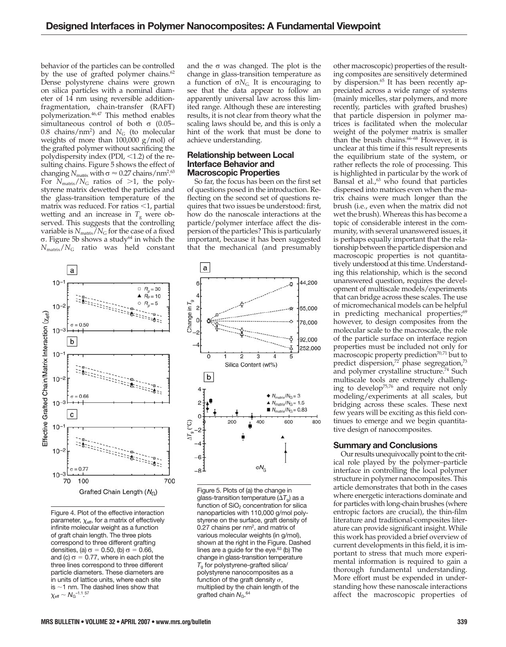behavior of the particles can be controlled by the use of grafted polymer chains.<sup>62</sup> Dense polystyrene chains were grown on silica particles with a nominal diameter of  $14$  nm using reversible additionfragmentation, chain-transfer (RAFT) polymerization.46,47 This method enables simultaneous control of both  $σ$  (0.05–  $0.8 \text{ chains}/\text{nm}^2$ ) and  $N_\text{G}$  (to molecular weights of more than 100,000 g/mol) of the grafted polymer without sacrificing the polydispersity index (PDI,  $\leq$ 1.2) of the resulting chains. Figure 5 shows the effect of changing  $N_{\text{matrix}}$  with  $\sigma \approx 0.27$  chains/nm<sup>2.63</sup> For  $N_{\text{matrix}}/N_{\text{G}}$  ratios of  $>1$ , the polystyrene matrix dewetted the particles and the glass-transition temperature of the matrix was reduced. For ratios  $\leq 1$ , partial wetting and an increase in  $T<sub>g</sub>$  were observed. This suggests that the controlling variable is  $N_{\text{matrix}}/N_{\text{G}}$  for the case of a fixed σ. Figure 5b shows a study64 in which the *N*matrix/*N*<sup>G</sup> ratio was held constant



Figure 4. Plot of the effective interaction parameter,  $\chi_{\text{eff}}$ , for a matrix of effectively infinite molecular weight as a function of graft chain length. The three plots correspond to three different grafting densities, (a)  $\sigma = 0.50$ , (b)  $\sigma = 0.66$ , and (c)  $\sigma$  = 0.77, where in each plot the three lines correspond to three different particle diameters. These diameters are in units of lattice units, where each site is  $\sim$ 1 nm. The dashed lines show that  $\chi_{\rm eff} \sim N_{\rm G}$ <sup>–1.1</sup>.<sup>57</sup>

and the  $\sigma$  was changed. The plot is the change in glass-transition temperature as a function of  $\sigma N$ <sub>G</sub>. It is encouraging to see that the data appear to follow an apparently universal law across this limited range. Although these are interesting results, it is not clear from theory what the scaling laws should be, and this is only a hint of the work that must be done to achieve understanding.

#### Relationship between Local Interface Behavior and Macroscopic Properties

So far, the focus has been on the first set of questions posed in the introduction. Reflecting on the second set of questions requires that two issues be understood: first, how do the nanoscale interactions at the particle/polymer interface affect the dispersion of the particles? This is particularly important, because it has been suggested that the mechanical (and presumably



Figure 5. Plots of (a) the change in glass-transition temperature  $(\Delta T_{q})$  as a function of  $SiO<sub>2</sub>$  concentration for silica nanoparticles with 110,000 g/mol polystyrene on the surface, graft density of 0.27 chains per nm<sup>2</sup>, and matrix of various molecular weights (in g/mol), shown at the right in the Figure. Dashed lines are a quide for the eye. $63$  (b) The change in glass-transition temperature  $T<sub>g</sub>$  for polystyrene-grafted silica/ polystyrene nanocomposites as a function of the graft density  $\sigma$ , multiplied by the chain length of the grafted chain  $N_{\mathrm{G}}$ . $^{64}$ 

other macroscopic) properties of the resulting composites are sensitively determined by dispersion.<sup>65</sup> It has been recently appreciated across a wide range of systems (mainly micelles, star polymers, and more recently, particles with grafted brushes) that particle dispersion in polymer matrices is facilitated when the molecular weight of the polymer matrix is smaller than the brush chains.<sup>66–68</sup> However, it is unclear at this time if this result represents the equilibrium state of the system, or rather reflects the role of processing. This is highlighted in particular by the work of Bansal et al.,<sup>63</sup> who found that particles dispersed into matrices even when the matrix chains were much longer than the brush (i.e., even when the matrix did not wet the brush). Whereas this has become a topic of considerable interest in the community, with several unanswered issues, it is perhaps equally important that the relationship between the particle dispersion and macroscopic properties is not quantitatively understood at this time. Understanding this relationship, which is the second unanswered question, requires the development of multiscale models/experiments that can bridge across these scales. The use of micromechanical models can be helpful in predicting mechanical properties;<sup>69</sup> however, to design composites from the molecular scale to the macroscale, the role of the particle surface on interface region properties must be included not only for macroscopic property prediction<sup>70,71</sup> but to predict dispersion,<sup>72</sup> phase segregation,<sup>73</sup> and polymer crystalline structure.<sup>74</sup> Such multiscale tools are extremely challenging to develop75,76 and require not only modeling/experiments at all scales, but bridging across these scales. These next few years will be exciting as this field continues to emerge and we begin quantitative design of nanocomposites.

# Summary and Conclusions

Our results unequivocally point to the critical role played by the polymer-particle interface in controlling the local polymer structure in polymer nanocomposites. This ar ticle demonstrates that both in the cases where energetic interactions dominate and for particles with long-chain brushes (where entropic factors are crucial), the thin-film literature and traditional-composites literature can provide significant insight. While this work has provided a brief overview of current developments in this field, it is important to stress that much more experimental information is required to gain a thorough fundamental understanding. More effort must be expended in understanding how these nanoscale interactions affect the macroscopic properties of